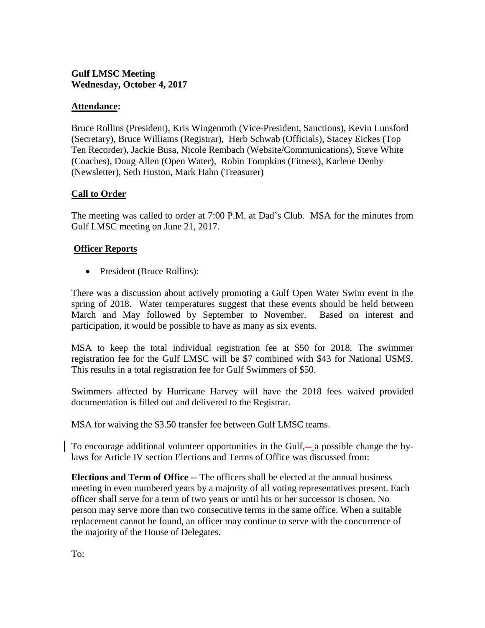# **Gulf LMSC Meeting Wednesday, October 4, 2017**

## **Attendance:**

Bruce Rollins (President), Kris Wingenroth (Vice-President, Sanctions), Kevin Lunsford (Secretary), Bruce Williams (Registrar), Herb Schwab (Officials), Stacey Eickes (Top Ten Recorder), Jackie Busa, Nicole Rembach (Website/Communications), Steve White (Coaches), Doug Allen (Open Water), Robin Tompkins (Fitness), Karlene Denby (Newsletter), Seth Huston, Mark Hahn (Treasurer)

### **Call to Order**

The meeting was called to order at 7:00 P.M. at Dad's Club. MSA for the minutes from Gulf LMSC meeting on June 21, 2017.

### **Officer Reports**

• President (Bruce Rollins):

There was a discussion about actively promoting a Gulf Open Water Swim event in the spring of 2018. Water temperatures suggest that these events should be held between March and May followed by September to November. Based on interest and participation, it would be possible to have as many as six events.

MSA to keep the total individual registration fee at \$50 for 2018. The swimmer registration fee for the Gulf LMSC will be \$7 combined with \$43 for National USMS. This results in a total registration fee for Gulf Swimmers of \$50.

Swimmers affected by Hurricane Harvey will have the 2018 fees waived provided documentation is filled out and delivered to the Registrar.

MSA for waiving the \$3.50 transfer fee between Gulf LMSC teams.

To encourage additional volunteer opportunities in the Gulf,— a possible change the bylaws for Article IV section Elections and Terms of Office was discussed from:

**Elections and Term of Office** -- The officers shall be elected at the annual business meeting in even numbered years by a majority of all voting representatives present. Each officer shall serve for a term of two years or until his or her successor is chosen. No person may serve more than two consecutive terms in the same office. When a suitable replacement cannot be found, an officer may continue to serve with the concurrence of the majority of the House of Delegates.

To: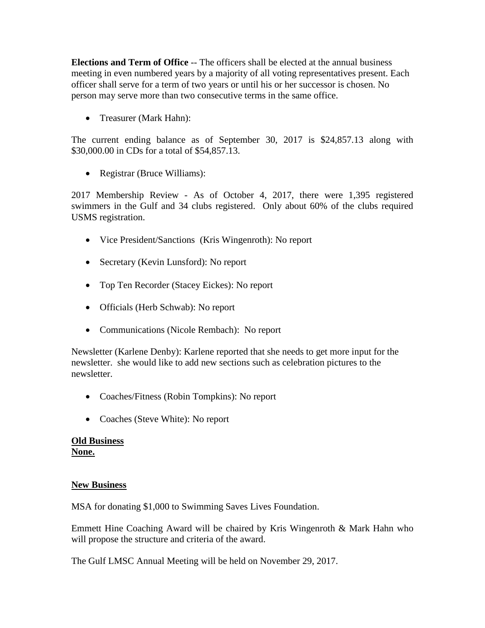**Elections and Term of Office** -- The officers shall be elected at the annual business meeting in even numbered years by a majority of all voting representatives present. Each officer shall serve for a term of two years or until his or her successor is chosen. No person may serve more than two consecutive terms in the same office.

• Treasurer (Mark Hahn):

The current ending balance as of September 30, 2017 is \$24,857.13 along with \$30,000.00 in CDs for a total of \$54,857.13.

• Registrar (Bruce Williams):

2017 Membership Review - As of October 4, 2017, there were 1,395 registered swimmers in the Gulf and 34 clubs registered. Only about 60% of the clubs required USMS registration.

- Vice President/Sanctions (Kris Wingenroth): No report
- Secretary (Kevin Lunsford): No report
- Top Ten Recorder (Stacey Eickes): No report
- Officials (Herb Schwab): No report
- Communications (Nicole Rembach): No report

Newsletter (Karlene Denby): Karlene reported that she needs to get more input for the newsletter. she would like to add new sections such as celebration pictures to the newsletter.

- Coaches/Fitness (Robin Tompkins): No report
- Coaches (Steve White): No report

# **Old Business**

**None.**

# **New Business**

MSA for donating \$1,000 to Swimming Saves Lives Foundation.

Emmett Hine Coaching Award will be chaired by Kris Wingenroth & Mark Hahn who will propose the structure and criteria of the award.

The Gulf LMSC Annual Meeting will be held on November 29, 2017.